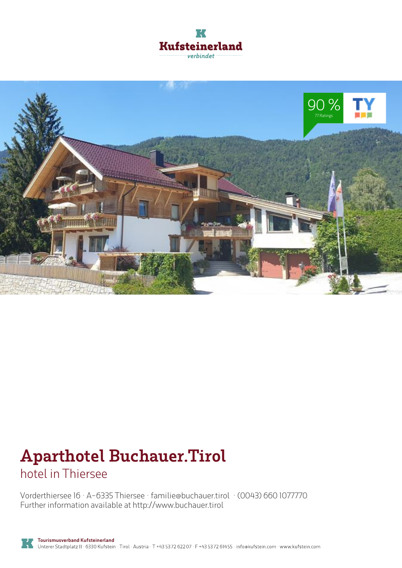



# **Aparthotel Buchauer.Tirol**

hotel in Thiersee

Vorderthiersee 16 · A-6335 Thiersee · **familie@buchauer.tirol** · **(0043) 660 1077770** Further information available at **http://www.buchauer.tirol**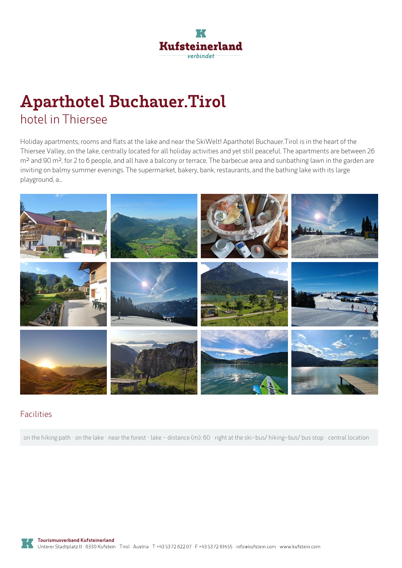

## **Aparthotel Buchauer.Tirol** hotel in Thiersee

Holiday apartments, rooms and flats at the lake and near the SkiWelt! Aparthotel Buchauer.Tirol is in the heart of the Thiersee Valley, on the lake, centrally located for all holiday activities and yet still peaceful. The apartments are between 26 m<sup>2</sup> and 90 m<sup>2</sup>, for 2 to 6 people, and all have a balcony or terrace. The barbecue area and sunbathing lawn in the garden are inviting on balmy summer evenings. The supermarket, bakery, bank, restaurants, and the bathing lake with its large playground, a...



#### Facilities

on the hiking path · on the lake · near the forest · lake - distance (m): 60 · right at the ski-bus/ hiking-bus/ bus stop · central location

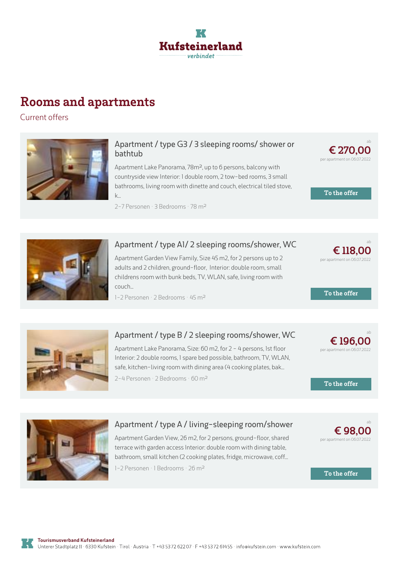

### **Rooms and apartments**

Current offers



#### **[Apartment](https://www.kufstein.com/en/book/thiersee/hotel/aparthotel-buchauertirol.html?utm_medium=PDF&utm_campaign=Vermieter-Prospekt&utm_source=Aparthotel+Buchauer.Tirol) / type G3 / 3 sleeping rooms/ shower or bathtub**

Apartment Lake Panorama, 78m², up to 6 persons, balcony with countryside view Interior: 1 double room, 2tow-bed rooms, 3 small bathrooms, living room with dinette and couch, electrical tiled stove, k...

2-7 Personen · 3 Bedrooms · 78 <sup>m</sup><sup>²</sup>



ab



#### **Apartment / type A1/ 2 sleeping [rooms/shower,](https://www.kufstein.com/en/book/thiersee/hotel/aparthotel-buchauertirol.html?utm_medium=PDF&utm_campaign=Vermieter-Prospekt&utm_source=Aparthotel+Buchauer.Tirol) WC**

Apartment Garden View Family, Size 45 m2, for 2 persons up to 2 adults and 2 children, ground-floor, Interior: double room, small childrens room with bunk beds, TV, WLAN, safe, living room with couch...

1-2 Personen · 2 Bedrooms · 45 <sup>m</sup><sup>²</sup>



**To the offer**



#### **Apartment / type B / 2 sleeping [rooms/shower,](https://www.kufstein.com/en/book/thiersee/hotel/aparthotel-buchauertirol.html?utm_medium=PDF&utm_campaign=Vermieter-Prospekt&utm_source=Aparthotel+Buchauer.Tirol) WC**

Apartment Lake Panorama, Size: 60 m2, for 2 - 4 persons, 1st floor Interior: 2double rooms, 1 spare bed possible, bathroom, TV, WLAN, safe, kitchen-living room with dining area (4 cooking plates, bak... 2-4 Personen · 2 Bedrooms · 60 <sup>m</sup><sup>²</sup>

ab **€ 196,00** per apartment on 06.07.2022

**To the offer**



#### **Apartment / type A / [living-sleeping](https://www.kufstein.com/en/book/thiersee/hotel/aparthotel-buchauertirol.html?utm_medium=PDF&utm_campaign=Vermieter-Prospekt&utm_source=Aparthotel+Buchauer.Tirol) room/shower**

Apartment Garden View, 26 m2, for 2 persons, ground-floor, shared terrace with garden access Interior: double room with dining table, bathroom, small kitchen (2 cooking plates, fridge, microwave, coff...

1-2 Personen · 1 Bedrooms · 26 m<sup>2</sup>

**€ 98,00** per apartment on 06.07.2022

ab

**To the offer**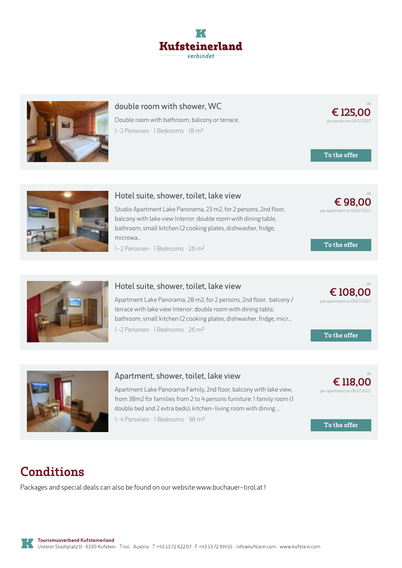



#### **double room with shower, WC**

Double room with bathroom, balcony or terrace. 1-2 Personen · 1 Bedrooms · 18 <sup>m</sup><sup>²</sup>

**To the offer**

**To the offer**

**€ [108,00](https://www.kufstein.com/en/book/thiersee/hotel/aparthotel-buchauertirol.html?utm_medium=PDF&utm_campaign=Vermieter-Prospekt&utm_source=Aparthotel+Buchauer.Tirol)** per apartment on 06.07.2022

**To the offer**

ab

ab

ab

ab

**€ 118,00** per apartment on 06.07.2022

**€ [98,00](https://www.kufstein.com/en/book/thiersee/hotel/aparthotel-buchauertirol.html?utm_medium=PDF&utm_campaign=Vermieter-Prospekt&utm_source=Aparthotel+Buchauer.Tirol)** per apartment on 06.07.2022

**€ [125,00](https://www.kufstein.com/en/book/thiersee/hotel/aparthotel-buchauertirol.html?utm_medium=PDF&utm_campaign=Vermieter-Prospekt&utm_source=Aparthotel+Buchauer.Tirol)** per person on 06.07.2022



#### **Hotel suite, shower, toilet, lake view**

Studio Apartment Lake Panorama, 23 m2, for 2 persons, 2nd floor, balcony with lake view Interior: double room with dining table, bathroom, small kitchen (2 cooking plates, dishwasher, fridge, microwa...

1-2 Personen · 1 Bedrooms · 26 <sup>m</sup><sup>²</sup>



#### **Hotel suite, shower, toilet, lake view**

Apartment Lake Panorama, 28 m2, for 2 persons, 2nd floor, balcony / terrace with lake view Interior: double room with dining table, bathroom, small kitchen (2 cooking plates, dishwasher, fridge, micr... 1-2 Personen · 1 Bedrooms · 26 <sup>m</sup><sup>²</sup>



#### **[Apartment,](https://www.kufstein.com/en/book/thiersee/hotel/aparthotel-buchauertirol.html?utm_medium=PDF&utm_campaign=Vermieter-Prospekt&utm_source=Aparthotel+Buchauer.Tirol) shower, toilet, lake view**

Apartment Lake Panorama Family, 2nd floor, balcony with lake view, from 38m2 for families from 2 to 4 persons furniture: 1 family room (1 double bed and 2 extra beds), kitchen-living room with dining ...

1-4 Personen · 1 Bedrooms · 38 <sup>m</sup><sup>²</sup>

**To the offer**

## **Conditions**

Packages and special deals can also be found on our website www.buchauer-tirol.at !